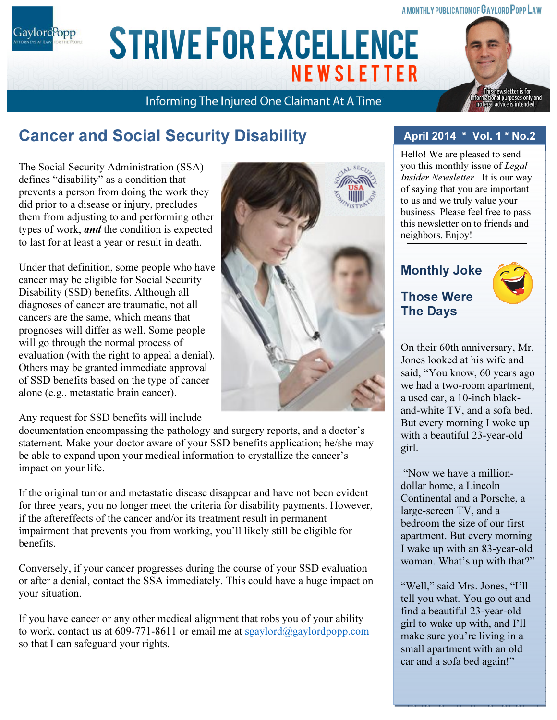#### **A MONTHLY PUBLICATION OF GAYLORD POPP LAW**

Gaylord<sup>P</sup>opp

# ARIAL 15 POINT BOLD CAPS FOR CO. NAME **NEWSLETTER**

Informing The Injured One Claimant At A Time

# Cancer and Social Security Disability

The Social Security Administration (SSA) defines "disability" as a condition that prevents a person from doing the work they did prior to a disease or injury, precludes them from adjusting to and performing other types of work, *and* the condition is expected to last for at least a year or result in death.

Under that definition, some people who have cancer may be eligible for Social Security Disability (SSD) benefits. Although all diagnoses of cancer are traumatic, not all cancers are the same, which means that prognoses will differ as well. Some people will go through the normal process of evaluation (with the right to appeal a denial). Others may be granted immediate approval of SSD benefits based on the type of cancer alone (e.g., metastatic brain cancer).

Any request for SSD benefits will include

documentation encompassing the pathology and surgery reports, and a doctor's statement. Make your doctor aware of your SSD benefits application; he/she may be able to expand upon your medical information to crystallize the cancer's impact on your life.

If the original tumor and metastatic disease disappear and have not been evident for three years, you no longer meet the criteria for disability payments. However, if the aftereffects of the cancer and/or its treatment result in permanent impairment that prevents you from working, you'll likely still be eligible for benefits.

Conversely, if your cancer progresses during the course of your SSD evaluation or after a denial, contact the SSA immediately. This could have a huge impact on your situation.

If you have cancer or any other medical alignment that robs you of your ability to work, contact us at 609-771-8611 or email me at sgaylord $\omega$ gaylordpopp.com so that I can safeguard your rights.



### April 2014 \* Vol. 1 \* No.2

Hello! We are pleased to send you this monthly issue of Legal Insider Newsletter. It is our way of saying that you are important to us and we truly value your business. Please feel free to pass this newsletter on to friends and neighbors. Enjoy!

### Monthly Joke Those Were

The Days



sletter is for

On their 60th anniversary, Mr. Jones looked at his wife and said, "You know, 60 years ago we had a two-room apartment, a used car, a 10-inch blackand-white TV, and a sofa bed. But every morning I woke up with a beautiful 23-year-old girl.

 "Now we have a milliondollar home, a Lincoln Continental and a Porsche, a large-screen TV, and a bedroom the size of our first apartment. But every morning I wake up with an 83-year-old woman. What's up with that?"

"Well," said Mrs. Jones, "I'll tell you what. You go out and find a beautiful 23-year-old girl to wake up with, and I'll make sure you're living in a small apartment with an old car and a sofa bed again!"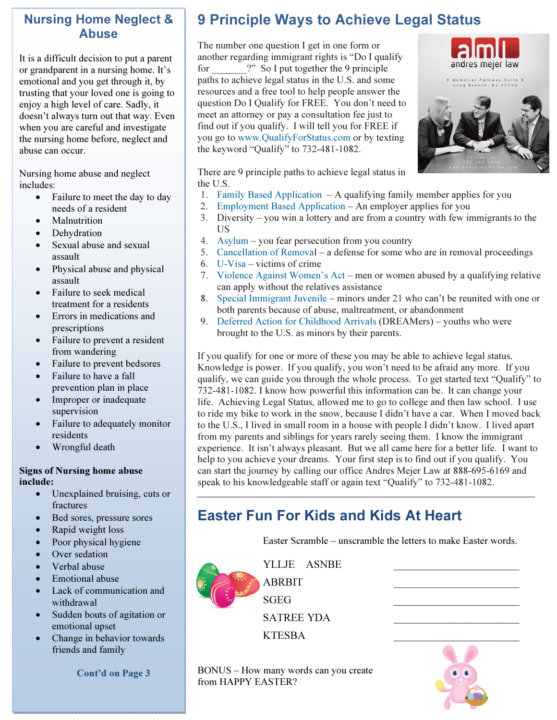### Nursing Home Neglect & Abuse

It is a difficult decision to put a parent or grandparent in a nursing home. It's emotional and you get through it, by trusting that your loved one is going to enjoy a high level of care. Sadly, it doesn't always turn out that way. Even when you are careful and investigate the nursing home before, neglect and abuse can occur.

Nursing home abuse and neglect includes:

- Failure to meet the day to day needs of a resident
- **Malnutrition**
- **Dehydration**
- Sexual abuse and sexual assault
- Physical abuse and physical assault
- Failure to seek medical treatment for a residents
- Errors in medications and prescriptions
- Failure to prevent a resident from wandering
- Failure to prevent bedsores
- Failure to have a fall prevention plan in place
- Improper or inadequate supervision
- Failure to adequately monitor residents
- Wrongful death

#### Signs of Nursing home abuse include:

- Unexplained bruising, cuts or fractures
- Bed sores, pressure sores
- Rapid weight loss
- Poor physical hygiene
- Over sedation
- Verbal abuse
- Emotional abuse
- Lack of communication and withdrawal
- Sudden bouts of agitation or emotional upset
- Change in behavior towards friends and family

andres mejer law Long Branch, NJ 07

There are 9 principle paths to achieve legal status in the U.S.

- 1. Family Based Application A qualifying family member applies for you
- 2. Employment Based Application An employer applies for you
- 3. Diversity you win a lottery and are from a country with few immigrants to the US
- 4. Asylum you fear persecution from you country
- 5. Cancellation of Removal a defense for some who are in removal proceedings
- 6. U-Visa victims of crime
- 7. Violence Against Women's Act men or women abused by a qualifying relative can apply without the relatives assistance
- 8. Special Immigrant Juvenile minors under 21 who can't be reunited with one or both parents because of abuse, maltreatment, or abandonment
- 9. Deferred Action for Childhood Arrivals (DREAMers) youths who were brought to the U.S. as minors by their parents.

If you qualify for one or more of these you may be able to achieve legal status. Knowledge is power. If you qualify, you won't need to be afraid any more. If you qualify, we can guide you through the whole process. To get started text "Qualify" to 732-481-1082. I know how powerful this information can be. It can change your life. Achieving Legal Status, allowed me to go to college and then law school. I use to ride my bike to work in the snow, because I didn't have a car. When I moved back to the U.S., I lived in small room in a house with people I didn't know. I lived apart from my parents and siblings for years rarely seeing them. I know the immigrant experience. It isn't always pleasant. But we all came here for a better life. I want to help to you achieve your dreams. Your first step is to find out if you qualify. You can start the journey by calling our office Andres Mejer Law at 888-695-6169 and speak to his knowledgeable staff or again text "Qualify" to 732-481-1082.

### Easter Fun For Kids and Kids At Heart

Easter Scramble – unscramble the letters to make Easter words.



YLLJE ASNBE

 $SGEG$   $\qquad \qquad \qquad$ SATREE YDA \_\_\_\_\_\_\_\_\_\_\_\_\_\_\_\_\_\_\_\_\_\_\_

KTESBA \_\_\_\_\_\_\_\_\_\_\_\_\_\_\_\_\_\_\_\_\_\_\_

BONUS – How many words can you create

from HAPPY EASTER?

ABRBIT \_\_\_\_\_\_\_\_\_\_\_\_\_\_\_\_\_\_\_\_\_\_\_

Cont'd on Page 3

# The number one question I get in one form or

9 Principle Ways to Achieve Legal Status

another regarding immigrant rights is "Do I qualify for  $\gamma$  So I put together the 9 principle paths to achieve legal status in the U.S. and some resources and a free tool to help people answer the question Do I Qualify for FREE. You don't need to meet an attorney or pay a consultation fee just to find out if you qualify. I will tell you for FREE if you go to www.QualifyForStatus.com or by texting the keyword "Qualify" to 732-481-1082.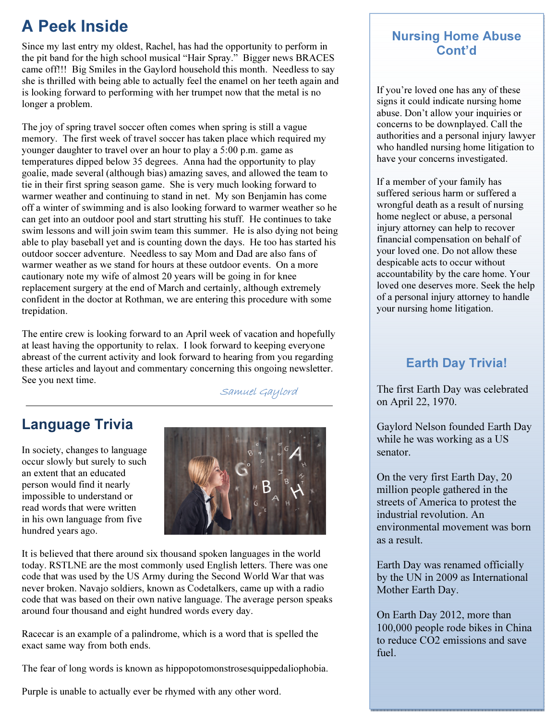## A Peek Inside

Since my last entry my oldest, Rachel, has had the opportunity to perform in the pit band for the high school musical "Hair Spray." Bigger news BRACES came off!!! Big Smiles in the Gaylord household this month. Needless to say she is thrilled with being able to actually feel the enamel on her teeth again and is looking forward to performing with her trumpet now that the metal is no longer a problem.

The joy of spring travel soccer often comes when spring is still a vague memory. The first week of travel soccer has taken place which required my younger daughter to travel over an hour to play a 5:00 p.m. game as temperatures dipped below 35 degrees. Anna had the opportunity to play goalie, made several (although bias) amazing saves, and allowed the team to tie in their first spring season game. She is very much looking forward to warmer weather and continuing to stand in net. My son Benjamin has come off a winter of swimming and is also looking forward to warmer weather so he can get into an outdoor pool and start strutting his stuff. He continues to take swim lessons and will join swim team this summer. He is also dying not being able to play baseball yet and is counting down the days. He too has started his outdoor soccer adventure. Needless to say Mom and Dad are also fans of warmer weather as we stand for hours at these outdoor events. On a more cautionary note my wife of almost 20 years will be going in for knee replacement surgery at the end of March and certainly, although extremely confident in the doctor at Rothman, we are entering this procedure with some trepidation.

The entire crew is looking forward to an April week of vacation and hopefully at least having the opportunity to relax. I look forward to keeping everyone abreast of the current activity and look forward to hearing from you regarding these articles and layout and commentary concerning this ongoing newsletter. See you next time.

Samuel Gaylord

### Language Trivia

In society, changes to language occur slowly but surely to such an extent that an educated person would find it nearly impossible to understand or read words that were written in his own language from five hundred years ago.



It is believed that there around six thousand spoken languages in the world today. RSTLNE are the most commonly used English letters. There was one code that was used by the US Army during the Second World War that was never broken. Navajo soldiers, known as Codetalkers, came up with a radio code that was based on their own native language. The average person speaks around four thousand and eight hundred words every day.

Racecar is an example of a palindrome, which is a word that is spelled the exact same way from both ends.

The fear of long words is known as hippopotomonstrosesquippedaliophobia.

Purple is unable to actually ever be rhymed with any other word.

### Nursing Home Abuse Cont'd

If you're loved one has any of these signs it could indicate nursing home abuse. Don't allow your inquiries or concerns to be downplayed. Call the authorities and a personal injury lawyer who handled nursing home litigation to have your concerns investigated.

If a member of your family has suffered serious harm or suffered a wrongful death as a result of nursing home neglect or abuse, a personal injury attorney can help to recover financial compensation on behalf of your loved one. Do not allow these despicable acts to occur without accountability by the care home. Your loved one deserves more. Seek the help of a personal injury attorney to handle your nursing home litigation.

### Earth Day Trivia!

The first Earth Day was celebrated on April 22, 1970.

Gaylord Nelson founded Earth Day while he was working as a US senator.

On the very first Earth Day, 20 million people gathered in the streets of America to protest the industrial revolution. An environmental movement was born as a result.

Earth Day was renamed officially by the UN in 2009 as International Mother Earth Day.

On Earth Day 2012, more than 100,000 people rode bikes in China to reduce CO2 emissions and save fuel.